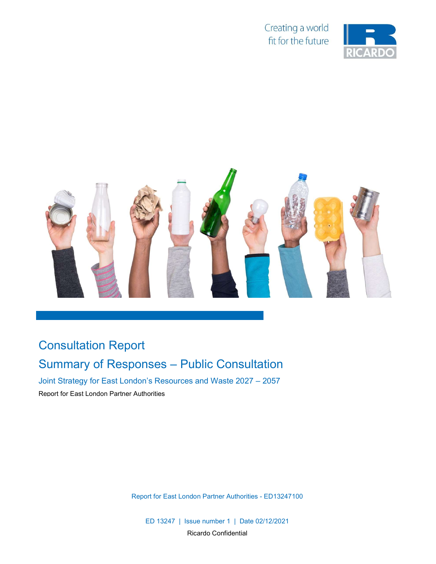Creating a world fit for the future





## Consultation Report

## Summary of Responses – Public Consultation

Joint Strategy for East London's Resources and Waste 2027 – 2057

Report for East London Partner Authorities

Report for East London Partner Authorities - ED13247100

ED 13247 | Issue number 1 | Date 02/12/2021 Ricardo Confidential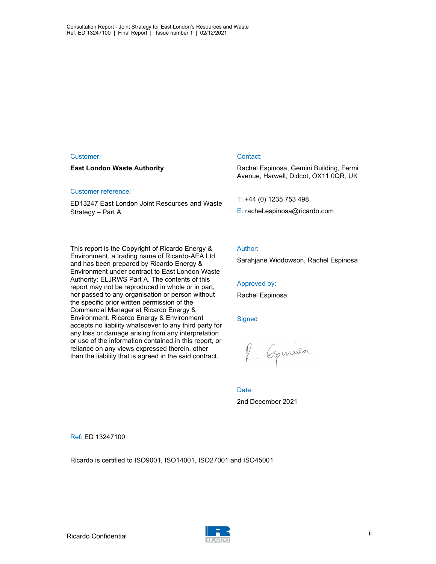#### Customer:

#### East London Waste Authority

#### Customer reference:

ED13247 East London Joint Resources and Waste Strategy – Part A

#### Contact:

Rachel Espinosa, Gemini Building, Fermi Avenue, Harwell, Didcot, OX11 0QR, UK

T: +44 (0) 1235 753 498

E: rachel.espinosa@ricardo.com

This report is the Copyright of Ricardo Energy & Environment, a trading name of Ricardo-AEA Ltd and has been prepared by Ricardo Energy & Environment under contract to East London Waste Authority: ELJRWS Part A. The contents of this report may not be reproduced in whole or in part, nor passed to any organisation or person without the specific prior written permission of the Commercial Manager at Ricardo Energy & Environment. Ricardo Energy & Environment accepts no liability whatsoever to any third party for any loss or damage arising from any interpretation or use of the information contained in this report, or reliance on any views expressed therein, other than the liability that is agreed in the said contract.

#### Author:

Sarahjane Widdowson, Rachel Espinosa

#### Approved by:

Rachel Espinosa

#### **Signed**

R. Equissa

Date: 2nd December 2021

Ref: ED 13247100

Ricardo is certified to ISO9001, ISO14001, ISO27001 and ISO45001



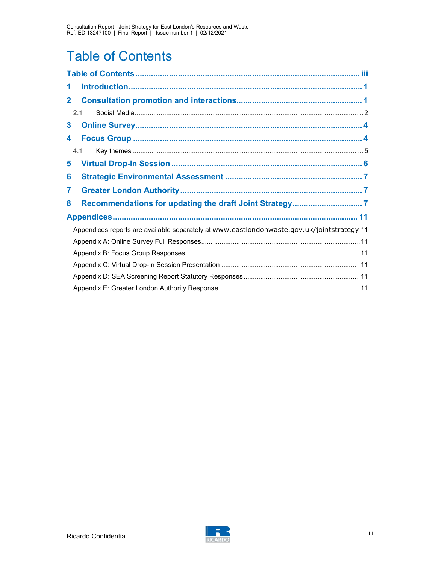# Table of Contents

| 1                                                                                          |
|--------------------------------------------------------------------------------------------|
| $\mathbf{2}$                                                                               |
| 2.1                                                                                        |
| 3                                                                                          |
| 4                                                                                          |
| 4.1                                                                                        |
| 5                                                                                          |
| 6                                                                                          |
| 7                                                                                          |
| 8                                                                                          |
|                                                                                            |
| Appendices reports are available separately at www.eastlondonwaste.gov.uk/jointstrategy 11 |
|                                                                                            |
|                                                                                            |
|                                                                                            |
|                                                                                            |
|                                                                                            |

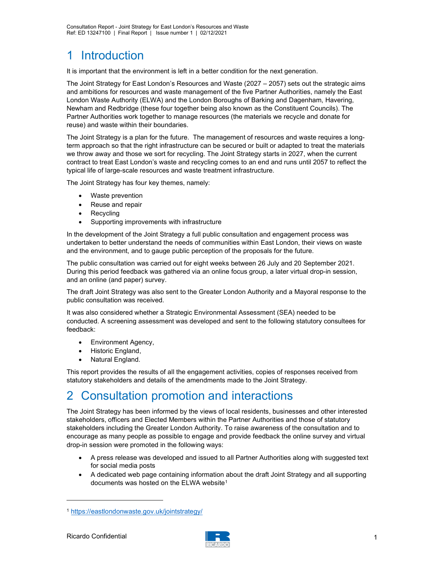### 1 Introduction

It is important that the environment is left in a better condition for the next generation.

The Joint Strategy for East London's Resources and Waste (2027 – 2057) sets out the strategic aims and ambitions for resources and waste management of the five Partner Authorities, namely the East London Waste Authority (ELWA) and the London Boroughs of Barking and Dagenham, Havering, Newham and Redbridge (these four together being also known as the Constituent Councils). The Partner Authorities work together to manage resources (the materials we recycle and donate for reuse) and waste within their boundaries.

The Joint Strategy is a plan for the future. The management of resources and waste requires a longterm approach so that the right infrastructure can be secured or built or adapted to treat the materials we throw away and those we sort for recycling. The Joint Strategy starts in 2027, when the current contract to treat East London's waste and recycling comes to an end and runs until 2057 to reflect the typical life of large-scale resources and waste treatment infrastructure.

The Joint Strategy has four key themes, namely:

- Waste prevention
- Reuse and repair
- Recycling
- Supporting improvements with infrastructure

In the development of the Joint Strategy a full public consultation and engagement process was undertaken to better understand the needs of communities within East London, their views on waste and the environment, and to gauge public perception of the proposals for the future.

The public consultation was carried out for eight weeks between 26 July and 20 September 2021. During this period feedback was gathered via an online focus group, a later virtual drop-in session, and an online (and paper) survey.

The draft Joint Strategy was also sent to the Greater London Authority and a Mayoral response to the public consultation was received.

It was also considered whether a Strategic Environmental Assessment (SEA) needed to be conducted. A screening assessment was developed and sent to the following statutory consultees for feedback:

- Environment Agency,
- Historic England,
- Natural England.

This report provides the results of all the engagement activities, copies of responses received from statutory stakeholders and details of the amendments made to the Joint Strategy.

### 2 Consultation promotion and interactions

The Joint Strategy has been informed by the views of local residents, businesses and other interested stakeholders, officers and Elected Members within the Partner Authorities and those of statutory stakeholders including the Greater London Authority. To raise awareness of the consultation and to encourage as many people as possible to engage and provide feedback the online survey and virtual drop-in session were promoted in the following ways:

- A press release was developed and issued to all Partner Authorities along with suggested text for social media posts
- A dedicated web page containing information about the draft Joint Strategy and all supporting documents was hosted on the ELWA website<sup>1</sup>



<sup>1</sup> https://eastlondonwaste.gov.uk/jointstrategy/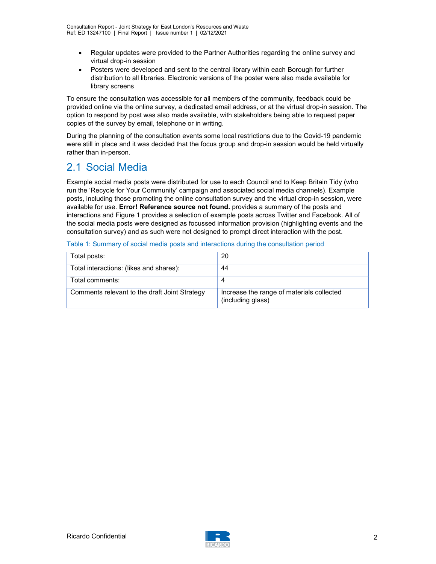- Regular updates were provided to the Partner Authorities regarding the online survey and virtual drop-in session
- Posters were developed and sent to the central library within each Borough for further distribution to all libraries. Electronic versions of the poster were also made available for library screens

To ensure the consultation was accessible for all members of the community, feedback could be provided online via the online survey, a dedicated email address, or at the virtual drop-in session. The option to respond by post was also made available, with stakeholders being able to request paper copies of the survey by email, telephone or in writing.

During the planning of the consultation events some local restrictions due to the Covid-19 pandemic were still in place and it was decided that the focus group and drop-in session would be held virtually rather than in-person.

### 2.1 Social Media

Example social media posts were distributed for use to each Council and to Keep Britain Tidy (who run the 'Recycle for Your Community' campaign and associated social media channels). Example posts, including those promoting the online consultation survey and the virtual drop-in session, were available for use. Error! Reference source not found. provides a summary of the posts and interactions and Figure 1 provides a selection of example posts across Twitter and Facebook. All of the social media posts were designed as focussed information provision (highlighting events and the consultation survey) and as such were not designed to prompt direct interaction with the post.

| Table 1: Summary of social media posts and interactions during the consultation period |  |  |  |
|----------------------------------------------------------------------------------------|--|--|--|
|                                                                                        |  |  |  |

| Total posts:                                  | 20                                                             |
|-----------------------------------------------|----------------------------------------------------------------|
| Total interactions: (likes and shares):       | 44                                                             |
| Total comments:                               |                                                                |
| Comments relevant to the draft Joint Strategy | Increase the range of materials collected<br>(including glass) |

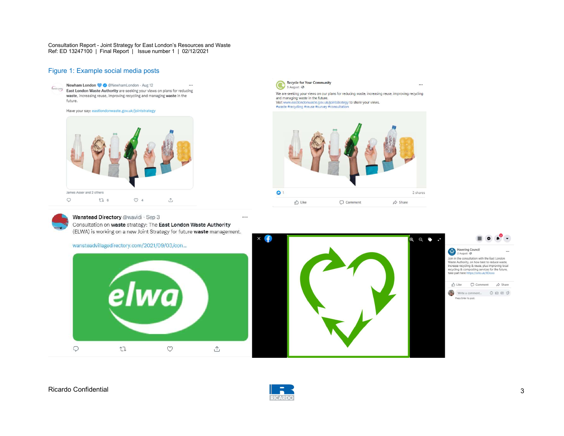Consultation Report - Joint Strategy for East London's Resources and Waste Ref: ED 13247100 | Final Report | Issue number 1 | 02/12/2021

#### Figure 1: Example social media posts



Recycle for Your Community Recycle for  $\cdots$ We are seeking your views on our plans for reducing waste, increasing reuse, improving recycling and managing waste in the future. That unanually vasit in the number of the USI of the Visit www.eastlondonwaste.gov.uk/jointstrategy to share your views.<br>#waste #recycling #reuse #survey #consultation





#### Wanstead Directory @wavidi · Sep 3

Consultation on waste strategy: The East London Waste Authority (ELWA) is working on a new Joint Strategy for future waste management.







 $\cdots$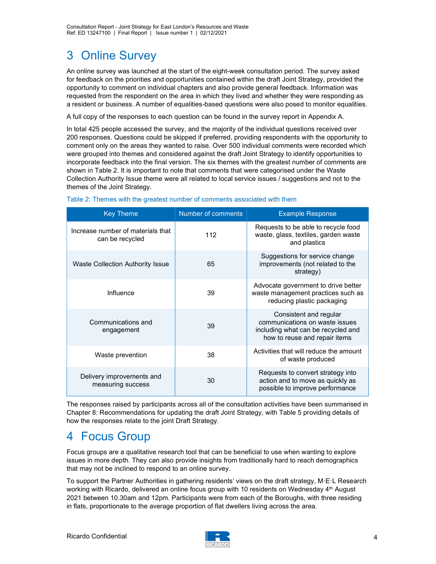## 3 Online Survey

An online survey was launched at the start of the eight-week consultation period. The survey asked for feedback on the priorities and opportunities contained within the draft Joint Strategy, provided the opportunity to comment on individual chapters and also provide general feedback. Information was requested from the respondent on the area in which they lived and whether they were responding as a resident or business. A number of equalities-based questions were also posed to monitor equalities.

A full copy of the responses to each question can be found in the survey report in Appendix A.

In total 425 people accessed the survey, and the majority of the individual questions received over 200 responses. Questions could be skipped if preferred, providing respondents with the opportunity to comment only on the areas they wanted to raise. Over 500 individual comments were recorded which were grouped into themes and considered against the draft Joint Strategy to identify opportunities to incorporate feedback into the final version. The six themes with the greatest number of comments are shown in Table 2. It is important to note that comments that were categorised under the Waste Collection Authority Issue theme were all related to local service issues / suggestions and not to the themes of the Joint Strategy.

| <b>Key Theme</b>                                     | Number of comments | <b>Example Response</b>                                                                                                         |
|------------------------------------------------------|--------------------|---------------------------------------------------------------------------------------------------------------------------------|
| Increase number of materials that<br>can be recycled | 112                | Requests to be able to recycle food<br>waste, glass, textiles, garden waste<br>and plastics                                     |
| Waste Collection Authority Issue                     | 65                 | Suggestions for service change<br>improvements (not related to the<br>strategy)                                                 |
| Influence                                            | 39                 | Advocate government to drive better<br>waste management practices such as<br>reducing plastic packaging                         |
| Communications and<br>engagement                     | 39                 | Consistent and regular<br>communications on waste issues<br>including what can be recycled and<br>how to reuse and repair items |
| Waste prevention                                     | 38                 | Activities that will reduce the amount<br>of waste produced                                                                     |
| Delivery improvements and<br>measuring success       | 30                 | Requests to convert strategy into<br>action and to move as quickly as<br>possible to improve performance                        |

#### Table 2: Themes with the greatest number of comments associated with them

The responses raised by participants across all of the consultation activities have been summarised in Chapter 8: Recommendations for updating the draft Joint Strategy, with Table 5 providing details of how the responses relate to the joint Draft Strategy.

### 4 Focus Group

Focus groups are a qualitative research tool that can be beneficial to use when wanting to explore issues in more depth. They can also provide insights from traditionally hard to reach demographics that may not be inclined to respond to an online survey.

To support the Partner Authorities in gathering residents' views on the draft strategy, M·E·L Research working with Ricardo, delivered an online focus group with 10 residents on Wednesday 4<sup>th</sup> August 2021 between 10.30am and 12pm. Participants were from each of the Boroughs, with three residing in flats, proportionate to the average proportion of flat dwellers living across the area.

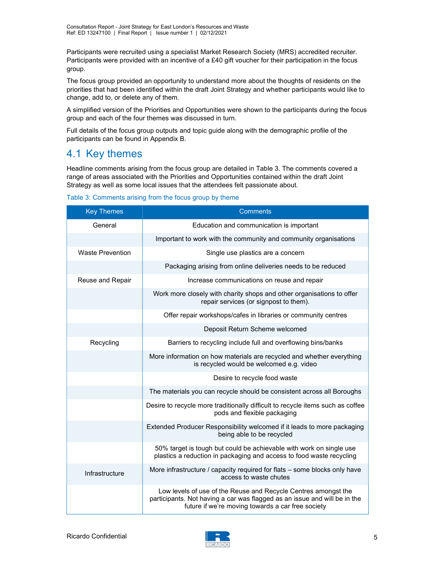Participants were recruited using a specialist Market Research Society (MRS) accredited recruiter. Participants were provided with an incentive of a £40 gift voucher for their participation in the focus group.

The focus group provided an opportunity to understand more about the thoughts of residents on the priorities that had been identified within the draft Joint Strategy and whether participants would like to change, add to, or delete any of them.

A simplified version of the Priorities and Opportunities were shown to the participants during the focus group and each of the four themes was discussed in turn.

Full details of the focus group outputs and topic guide along with the demographic profile of the participants can be found in Appendix B.

### 4.1 Key themes

Headline comments arising from the focus group are detailed in Table 3. The comments covered a range of areas associated with the Priorities and Opportunities contained within the draft Joint Strategy as well as some local issues that the attendees felt passionate about.

Table 3: Comments arising from the focus group by theme

| <b>Key Themes</b>       | <b>Comments</b>                                                                                                                                                                                  |
|-------------------------|--------------------------------------------------------------------------------------------------------------------------------------------------------------------------------------------------|
| General                 | Education and communication is important                                                                                                                                                         |
|                         | Important to work with the community and community organisations                                                                                                                                 |
| <b>Waste Prevention</b> | Single use plastics are a concern                                                                                                                                                                |
|                         | Packaging arising from online deliveries needs to be reduced                                                                                                                                     |
| Reuse and Repair        | Increase communications on reuse and repair                                                                                                                                                      |
|                         | Work more closely with charity shops and other organisations to offer<br>repair services (or signpost to them).                                                                                  |
|                         | Offer repair workshops/cafes in libraries or community centres                                                                                                                                   |
|                         | Deposit Return Scheme welcomed                                                                                                                                                                   |
| Recycling               | Barriers to recycling include full and overflowing bins/banks                                                                                                                                    |
|                         | More information on how materials are recycled and whether everything<br>is recycled would be welcomed e.g. video                                                                                |
|                         | Desire to recycle food waste                                                                                                                                                                     |
|                         | The materials you can recycle should be consistent across all Boroughs                                                                                                                           |
|                         | Desire to recycle more traditionally difficult to recycle items such as coffee<br>pods and flexible packaging                                                                                    |
|                         | Extended Producer Responsibility welcomed if it leads to more packaging<br>being able to be recycled                                                                                             |
|                         | 50% target is tough but could be achievable with work on single use<br>plastics a reduction in packaging and access to food waste recycling                                                      |
| Infrastructure          | More infrastructure / capacity required for flats - some blocks only have<br>access to waste chutes                                                                                              |
|                         | Low levels of use of the Reuse and Recycle Centres amongst the<br>participants. Not having a car was flagged as an issue and will be in the<br>future if we're moving towards a car free society |

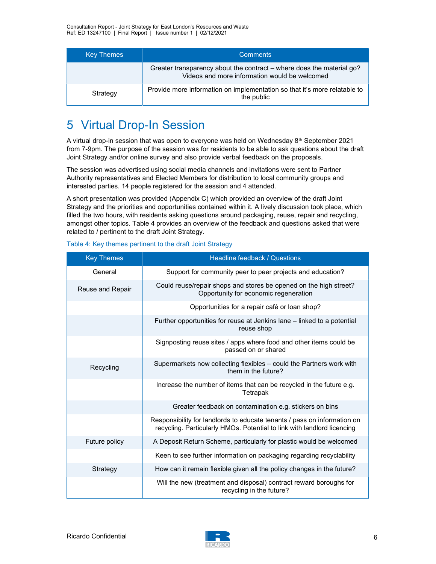| <b>Key Themes</b> | <b>Comments</b>                                                                                                        |
|-------------------|------------------------------------------------------------------------------------------------------------------------|
|                   | Greater transparency about the contract – where does the material go?<br>Videos and more information would be welcomed |
| Strategy          | Provide more information on implementation so that it's more relatable to<br>the public                                |

### 5 Virtual Drop-In Session

A virtual drop-in session that was open to everyone was held on Wednesday  $8<sup>th</sup>$  September 2021 from 7-9pm. The purpose of the session was for residents to be able to ask questions about the draft Joint Strategy and/or online survey and also provide verbal feedback on the proposals.

The session was advertised using social media channels and invitations were sent to Partner Authority representatives and Elected Members for distribution to local community groups and interested parties. 14 people registered for the session and 4 attended.

A short presentation was provided (Appendix C) which provided an overview of the draft Joint Strategy and the priorities and opportunities contained within it. A lively discussion took place, which filled the two hours, with residents asking questions around packaging, reuse, repair and recycling, amongst other topics. Table 4 provides an overview of the feedback and questions asked that were related to / pertinent to the draft Joint Strategy.

| <b>Key Themes</b> | Headline feedback / Questions                                                                                                                       |
|-------------------|-----------------------------------------------------------------------------------------------------------------------------------------------------|
| General           | Support for community peer to peer projects and education?                                                                                          |
| Reuse and Repair  | Could reuse/repair shops and stores be opened on the high street?<br>Opportunity for economic regeneration                                          |
|                   | Opportunities for a repair café or loan shop?                                                                                                       |
|                   | Further opportunities for reuse at Jenkins lane - linked to a potential<br>reuse shop                                                               |
|                   | Signposting reuse sites / apps where food and other items could be<br>passed on or shared                                                           |
| Recycling         | Supermarkets now collecting flexibles - could the Partners work with<br>them in the future?                                                         |
|                   | Increase the number of items that can be recycled in the future e.g.<br>Tetrapak                                                                    |
|                   | Greater feedback on contamination e.g. stickers on bins                                                                                             |
|                   | Responsibility for landlords to educate tenants / pass on information on<br>recycling. Particularly HMOs. Potential to link with landlord licencing |
| Future policy     | A Deposit Return Scheme, particularly for plastic would be welcomed                                                                                 |
|                   | Keen to see further information on packaging regarding recyclability                                                                                |
| Strategy          | How can it remain flexible given all the policy changes in the future?                                                                              |
|                   | Will the new (treatment and disposal) contract reward boroughs for<br>recycling in the future?                                                      |

Table 4: Key themes pertinent to the draft Joint Strategy

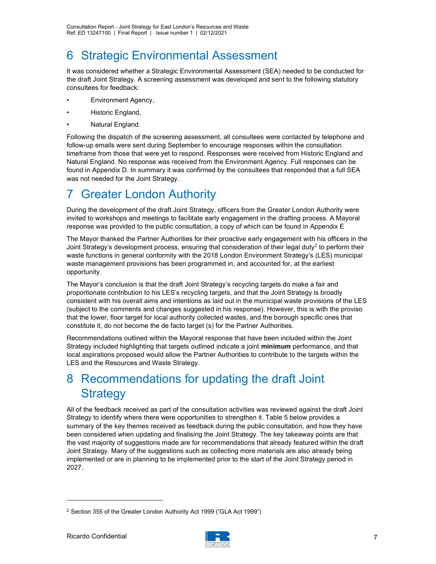### 6 Strategic Environmental Assessment

It was considered whether a Strategic Environmental Assessment (SEA) needed to be conducted for the draft Joint Strategy. A screening assessment was developed and sent to the following statutory consultees for feedback:

- Environment Agency,
- Historic England,
- Natural England.

Following the dispatch of the screening assessment, all consultees were contacted by telephone and follow-up emails were sent during September to encourage responses within the consultation timeframe from those that were yet to respond. Responses were received from Historic England and Natural England. No response was received from the Environment Agency. Full responses can be found in Appendix D. In summary it was confirmed by the consultees that responded that a full SEA was not needed for the Joint Strategy.

### 7 Greater London Authority

During the development of the draft Joint Strategy, officers from the Greater London Authority were invited to workshops and meetings to facilitate early engagement in the drafting process. A Mayoral response was provided to the public consultation, a copy of which can be found in Appendix E

The Mayor thanked the Partner Authorities for their proactive early engagement with his officers in the Joint Strategy's development process, ensuring that consideration of their legal duty<sup>2</sup> to perform their waste functions in general conformity with the 2018 London Environment Strategy's (LES) municipal waste management provisions has been programmed in, and accounted for, at the earliest opportunity.

The Mayor's conclusion is that the draft Joint Strategy's recycling targets do make a fair and proportionate contribution to his LES's recycling targets, and that the Joint Strategy is broadly consistent with his overall aims and intentions as laid out in the municipal waste provisions of the LES (subject to the comments and changes suggested in his response). However, this is with the proviso that the lower, floor target for local authority collected wastes, and the borough specific ones that constitute it, do not become the de facto target (s) for the Partner Authorities.

Recommendations outlined within the Mayoral response that have been included within the Joint Strategy included highlighting that targets outlined indicate a joint minimum performance, and that local aspirations proposed would allow the Partner Authorities to contribute to the targets within the LES and the Resources and Waste Strategy.

### 8 Recommendations for updating the draft Joint **Strategy**

All of the feedback received as part of the consultation activities was reviewed against the draft Joint Strategy to identify where there were opportunities to strengthen it. Table 5 below provides a summary of the key themes received as feedback during the public consultation, and how they have been considered when updating and finalising the Joint Strategy. The key takeaway points are that the vast majority of suggestions made are for recommendations that already featured within the draft Joint Strategy. Many of the suggestions such as collecting more materials are also already being implemented or are in planning to be implemented prior to the start of the Joint Strategy period in 2027.



<sup>2</sup> Section 355 of the Greater London Authority Act 1999 ("GLA Act 1999")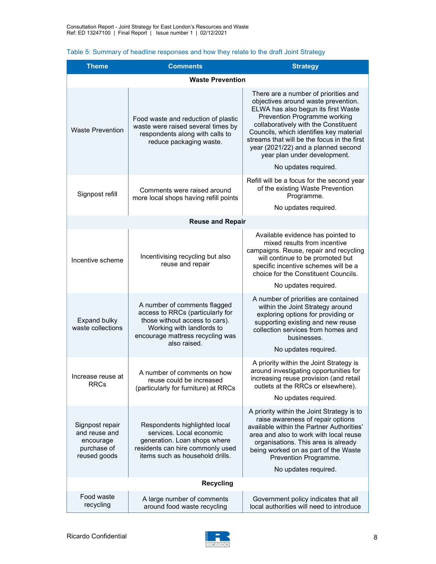| <b>Theme</b>                                                                 | <b>Comments</b>                                                                                                                                                                     | <b>Strategy</b>                                                                                                                                                                                                                                                                                                                                                                     |  |  |
|------------------------------------------------------------------------------|-------------------------------------------------------------------------------------------------------------------------------------------------------------------------------------|-------------------------------------------------------------------------------------------------------------------------------------------------------------------------------------------------------------------------------------------------------------------------------------------------------------------------------------------------------------------------------------|--|--|
|                                                                              | <b>Waste Prevention</b>                                                                                                                                                             |                                                                                                                                                                                                                                                                                                                                                                                     |  |  |
| <b>Waste Prevention</b>                                                      | Food waste and reduction of plastic<br>waste were raised several times by<br>respondents along with calls to<br>reduce packaging waste.                                             | There are a number of priorities and<br>objectives around waste prevention.<br>ELWA has also begun its first Waste<br>Prevention Programme working<br>collaboratively with the Constituent<br>Councils, which identifies key material<br>streams that will be the focus in the first<br>year (2021/22) and a planned second<br>year plan under development.<br>No updates required. |  |  |
| Signpost refill                                                              | Comments were raised around<br>more local shops having refill points                                                                                                                | Refill will be a focus for the second year<br>of the existing Waste Prevention<br>Programme.<br>No updates required.                                                                                                                                                                                                                                                                |  |  |
|                                                                              | <b>Reuse and Repair</b>                                                                                                                                                             |                                                                                                                                                                                                                                                                                                                                                                                     |  |  |
| Incentive scheme                                                             | Incentivising recycling but also<br>reuse and repair                                                                                                                                | Available evidence has pointed to<br>mixed results from incentive<br>campaigns. Reuse, repair and recycling<br>will continue to be promoted but<br>specific incentive schemes will be a<br>choice for the Constituent Councils.<br>No updates required.                                                                                                                             |  |  |
| <b>Expand bulky</b><br>waste collections                                     | A number of comments flagged<br>access to RRCs (particularly for<br>those without access to cars).<br>Working with landlords to<br>encourage mattress recycling was<br>also raised. | A number of priorities are contained<br>within the Joint Strategy around<br>exploring options for providing or<br>supporting existing and new reuse<br>collection services from homes and<br>businesses.<br>No updates required.                                                                                                                                                    |  |  |
| Increase reuse at<br><b>RRCs</b>                                             | A number of comments on how<br>reuse could be increased<br>(particularly for furniture) at RRCs                                                                                     | A priority within the Joint Strategy is<br>around investigating opportunities for<br>increasing reuse provision (and retail<br>outlets at the RRCs or elsewhere).<br>No updates required.                                                                                                                                                                                           |  |  |
| Signpost repair<br>and reuse and<br>encourage<br>purchase of<br>reused goods | Respondents highlighted local<br>services. Local economic<br>generation. Loan shops where<br>residents can hire commonly used<br>items such as household drills.                    | A priority within the Joint Strategy is to<br>raise awareness of repair options<br>available within the Partner Authorities'<br>area and also to work with local reuse<br>organisations. This area is already<br>being worked on as part of the Waste<br>Prevention Programme.<br>No updates required.                                                                              |  |  |
|                                                                              | <b>Recycling</b>                                                                                                                                                                    |                                                                                                                                                                                                                                                                                                                                                                                     |  |  |
| Food waste<br>recycling                                                      | A large number of comments<br>around food waste recycling                                                                                                                           | Government policy indicates that all<br>local authorities will need to introduce                                                                                                                                                                                                                                                                                                    |  |  |

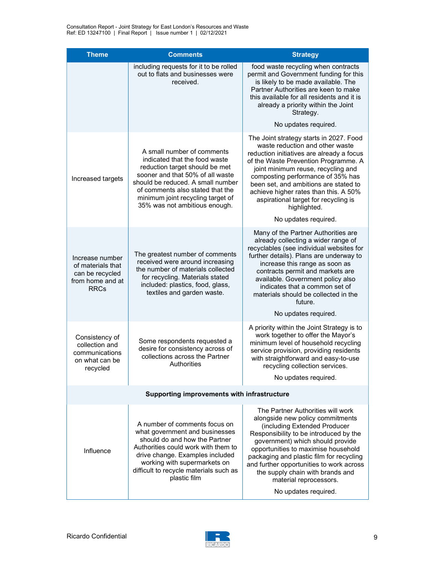| <b>Theme</b>                                                                               | <b>Comments</b>                                                                                                                                                                                                                                                                  | <b>Strategy</b>                                                                                                                                                                                                                                                                                                                                                                                          |  |
|--------------------------------------------------------------------------------------------|----------------------------------------------------------------------------------------------------------------------------------------------------------------------------------------------------------------------------------------------------------------------------------|----------------------------------------------------------------------------------------------------------------------------------------------------------------------------------------------------------------------------------------------------------------------------------------------------------------------------------------------------------------------------------------------------------|--|
|                                                                                            | including requests for it to be rolled<br>out to flats and businesses were<br>received.                                                                                                                                                                                          | food waste recycling when contracts<br>permit and Government funding for this<br>is likely to be made available. The<br>Partner Authorities are keen to make<br>this available for all residents and it is<br>already a priority within the Joint<br>Strategy.                                                                                                                                           |  |
|                                                                                            |                                                                                                                                                                                                                                                                                  | No updates required.                                                                                                                                                                                                                                                                                                                                                                                     |  |
| Increased targets                                                                          | A small number of comments<br>indicated that the food waste<br>reduction target should be met<br>sooner and that 50% of all waste<br>should be reduced. A small number<br>of comments also stated that the<br>minimum joint recycling target of<br>35% was not ambitious enough. | The Joint strategy starts in 2027. Food<br>waste reduction and other waste<br>reduction initiatives are already a focus<br>of the Waste Prevention Programme. A<br>joint minimum reuse, recycling and<br>composting performance of 35% has<br>been set, and ambitions are stated to<br>achieve higher rates than this. A 50%<br>aspirational target for recycling is<br>highlighted.                     |  |
|                                                                                            |                                                                                                                                                                                                                                                                                  | No updates required.                                                                                                                                                                                                                                                                                                                                                                                     |  |
| Increase number<br>of materials that<br>can be recycled<br>from home and at<br><b>RRCs</b> | The greatest number of comments<br>received were around increasing<br>the number of materials collected<br>for recycling. Materials stated<br>included: plastics, food, glass,<br>textiles and garden waste.                                                                     | Many of the Partner Authorities are<br>already collecting a wider range of<br>recyclables (see individual websites for<br>further details). Plans are underway to<br>increase this range as soon as<br>contracts permit and markets are<br>available. Government policy also<br>indicates that a common set of<br>materials should be collected in the<br>future.                                        |  |
|                                                                                            |                                                                                                                                                                                                                                                                                  | No updates required.                                                                                                                                                                                                                                                                                                                                                                                     |  |
| Consistency of<br>collection and<br>communications<br>on what can be<br>recycled           | Some respondents requested a<br>desire for consistency across of<br>collections across the Partner<br>Authorities                                                                                                                                                                | A priority within the Joint Strategy is to<br>work together to offer the Mayor's<br>minimum level of household recycling<br>service provision, providing residents<br>with straightforward and easy-to-use<br>recycling collection services.<br>No updates required.                                                                                                                                     |  |
|                                                                                            |                                                                                                                                                                                                                                                                                  |                                                                                                                                                                                                                                                                                                                                                                                                          |  |
| Supporting improvements with infrastructure                                                |                                                                                                                                                                                                                                                                                  |                                                                                                                                                                                                                                                                                                                                                                                                          |  |
| Influence                                                                                  | A number of comments focus on<br>what government and businesses<br>should do and how the Partner<br>Authorities could work with them to<br>drive change. Examples included<br>working with supermarkets on<br>difficult to recycle materials such as<br>plastic film             | The Partner Authorities will work<br>alongside new policy commitments<br>(including Extended Producer<br>Responsibility to be introduced by the<br>government) which should provide<br>opportunities to maximise household<br>packaging and plastic film for recycling<br>and further opportunities to work across<br>the supply chain with brands and<br>material reprocessors.<br>No updates required. |  |

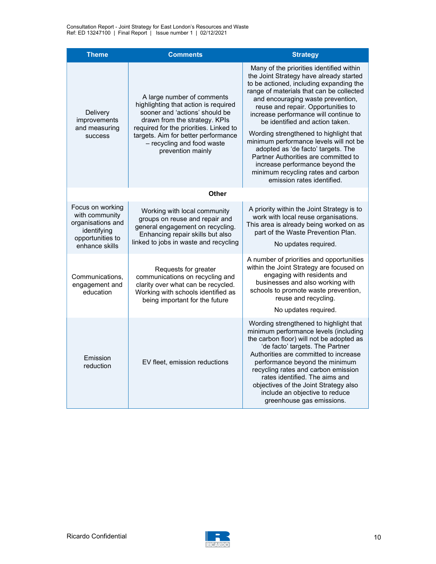| <b>Theme</b>                                                                                                 | <b>Comments</b>                                                                                                                                                                                                                                                           | <b>Strategy</b>                                                                                                                                                                                                                                                                                                                                                                                                                                                                                                                                                                                            |
|--------------------------------------------------------------------------------------------------------------|---------------------------------------------------------------------------------------------------------------------------------------------------------------------------------------------------------------------------------------------------------------------------|------------------------------------------------------------------------------------------------------------------------------------------------------------------------------------------------------------------------------------------------------------------------------------------------------------------------------------------------------------------------------------------------------------------------------------------------------------------------------------------------------------------------------------------------------------------------------------------------------------|
| Delivery<br>improvements<br>and measuring<br>success                                                         | A large number of comments<br>highlighting that action is required<br>sooner and 'actions' should be<br>drawn from the strategy. KPIs<br>required for the priorities. Linked to<br>targets. Aim for better performance<br>- recycling and food waste<br>prevention mainly | Many of the priorities identified within<br>the Joint Strategy have already started<br>to be actioned, including expanding the<br>range of materials that can be collected<br>and encouraging waste prevention,<br>reuse and repair. Opportunities to<br>increase performance will continue to<br>be identified and action taken.<br>Wording strengthened to highlight that<br>minimum performance levels will not be<br>adopted as 'de facto' targets. The<br>Partner Authorities are committed to<br>increase performance beyond the<br>minimum recycling rates and carbon<br>emission rates identified. |
|                                                                                                              | Other                                                                                                                                                                                                                                                                     |                                                                                                                                                                                                                                                                                                                                                                                                                                                                                                                                                                                                            |
| Focus on working<br>with community<br>organisations and<br>identifying<br>opportunities to<br>enhance skills | Working with local community<br>groups on reuse and repair and<br>general engagement on recycling.<br>Enhancing repair skills but also<br>linked to jobs in waste and recycling                                                                                           | A priority within the Joint Strategy is to<br>work with local reuse organisations.<br>This area is already being worked on as<br>part of the Waste Prevention Plan.<br>No updates required.                                                                                                                                                                                                                                                                                                                                                                                                                |
| Communications.<br>engagement and<br>education                                                               | Requests for greater<br>communications on recycling and<br>clarity over what can be recycled.<br>Working with schools identified as<br>being important for the future                                                                                                     | A number of priorities and opportunities<br>within the Joint Strategy are focused on<br>engaging with residents and<br>businesses and also working with<br>schools to promote waste prevention,<br>reuse and recycling.<br>No updates required.                                                                                                                                                                                                                                                                                                                                                            |
| Emission<br>reduction                                                                                        | EV fleet, emission reductions                                                                                                                                                                                                                                             | Wording strengthened to highlight that<br>minimum performance levels (including<br>the carbon floor) will not be adopted as<br>'de facto' targets. The Partner<br>Authorities are committed to increase<br>performance beyond the minimum<br>recycling rates and carbon emission<br>rates identified. The aims and<br>objectives of the Joint Strategy also<br>include an objective to reduce<br>greenhouse gas emissions.                                                                                                                                                                                 |

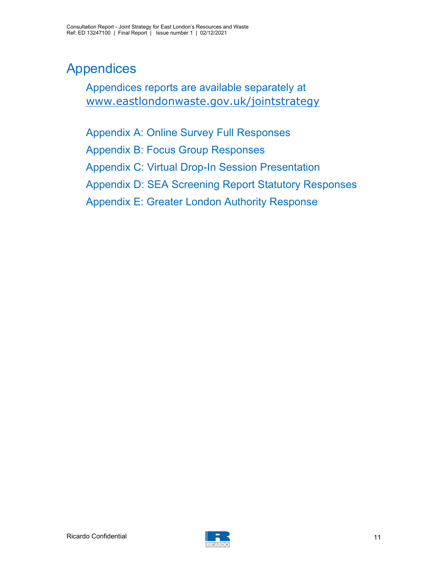# Appendices

Appendices reports are available separately at www.eastlondonwaste.gov.uk/jointstrategy

Appendix A: Online Survey Full Responses Appendix B: Focus Group Responses Appendix C: Virtual Drop-In Session Presentation Appendix D: SEA Screening Report Statutory Responses Appendix E: Greater London Authority Response